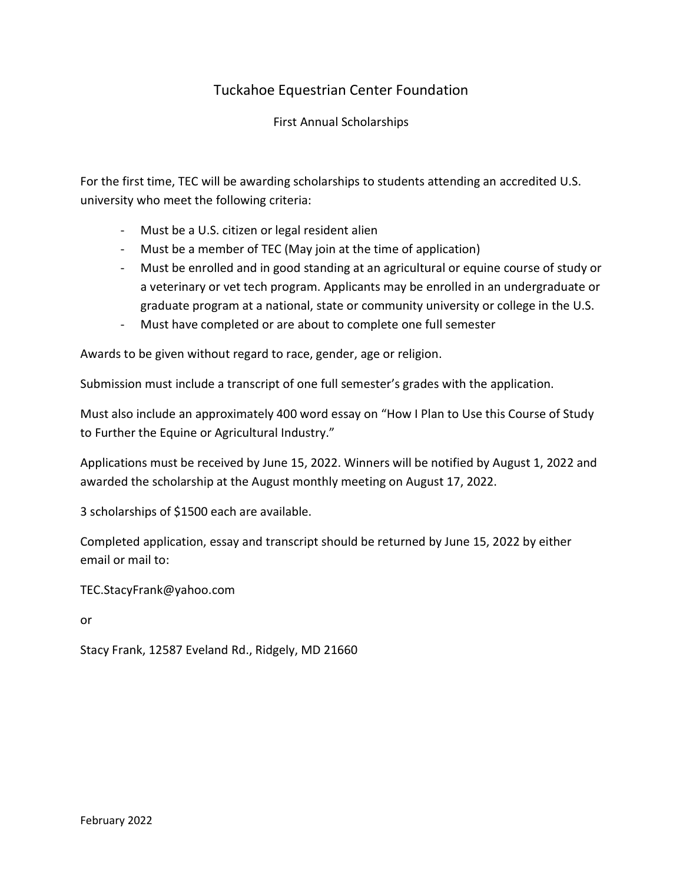## Tuckahoe Equestrian Center Foundation

First Annual Scholarships

For the first time, TEC will be awarding scholarships to students attending an accredited U.S. university who meet the following criteria:

- Must be a U.S. citizen or legal resident alien
- Must be a member of TEC (May join at the time of application)
- Must be enrolled and in good standing at an agricultural or equine course of study or a veterinary or vet tech program. Applicants may be enrolled in an undergraduate or graduate program at a national, state or community university or college in the U.S.
- Must have completed or are about to complete one full semester

Awards to be given without regard to race, gender, age or religion.

Submission must include a transcript of one full semester's grades with the application.

Must also include an approximately 400 word essay on "How I Plan to Use this Course of Study to Further the Equine or Agricultural Industry."

Applications must be received by June 15, 2022. Winners will be notified by August 1, 2022 and awarded the scholarship at the August monthly meeting on August 17, 2022.

3 scholarships of \$1500 each are available.

Completed application, essay and transcript should be returned by June 15, 2022 by either email or mail to:

TEC.StacyFrank@yahoo.com

or

Stacy Frank, 12587 Eveland Rd., Ridgely, MD 21660